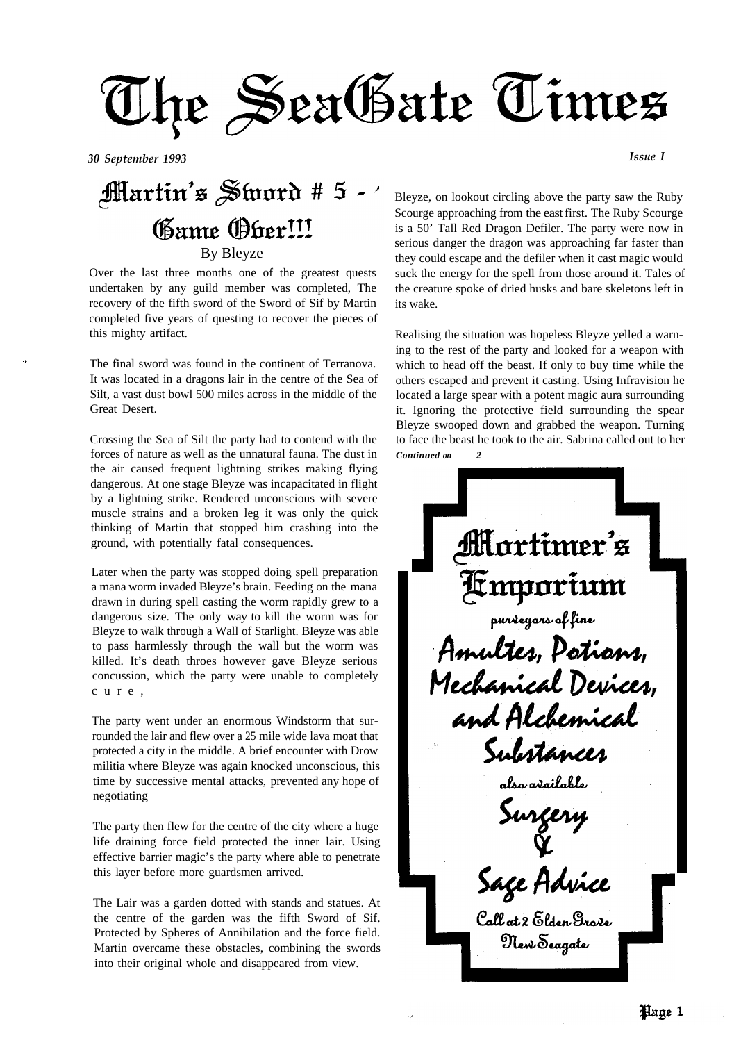# The SeaGate Times

*30 September 1993*

*Issue I*

# Martin's Sword # 5 -**Game Ober!!!**

By Bleyze

Over the last three months one of the greatest quests undertaken by any guild member was completed, The recovery of the fifth sword of the Sword of Sif by Martin completed five years of questing to recover the pieces of this mighty artifact.

The final sword was found in the continent of Terranova. It was located in a dragons lair in the centre of the Sea of Silt, a vast dust bowl 500 miles across in the middle of the Great Desert.

Crossing the Sea of Silt the party had to contend with the forces of nature as well as the unnatural fauna. The dust in the air caused frequent lightning strikes making flying dangerous. At one stage Bleyze was incapacitated in flight by a lightning strike. Rendered unconscious with severe muscle strains and a broken leg it was only the quick thinking of Martin that stopped him crashing into the ground, with potentially fatal consequences.

Later when the party was stopped doing spell preparation a mana worm invaded Bleyze's brain. Feeding on the mana drawn in during spell casting the worm rapidly grew to a dangerous size. The only way to kill the worm was for Bleyze to walk through a Wall of Starlight. BIeyze was able to pass harmlessly through the wall but the worm was killed. It's death throes however gave Bleyze serious concussion, which the party were unable to completely cure,

The party went under an enormous Windstorm that surrounded the lair and flew over a 25 mile wide lava moat that protected a city in the middle. A brief encounter with Drow militia where Bleyze was again knocked unconscious, this time by successive mental attacks, prevented any hope of negotiating

The party then flew for the centre of the city where a huge life draining force field protected the inner lair. Using effective barrier magic's the party where able to penetrate this layer before more guardsmen arrived.

The Lair was a garden dotted with stands and statues. At the centre of the garden was the fifth Sword of Sif. Protected by Spheres of Annihilation and the force field. Martin overcame these obstacles, combining the swords into their original whole and disappeared from view.

Bleyze, on lookout circling above the party saw the Ruby Scourge approaching from the east first. The Ruby Scourge is a 50' Tall Red Dragon Defiler. The party were now in serious danger the dragon was approaching far faster than they could escape and the defiler when it cast magic would suck the energy for the spell from those around it. Tales of the creature spoke of dried husks and bare skeletons left in its wake.

Realising the situation was hopeless Bleyze yelled a warning to the rest of the party and looked for a weapon with which to head off the beast. If only to buy time while the others escaped and prevent it casting. Using Infravision he located a large spear with a potent magic aura surrounding it. Ignoring the protective field surrounding the spear Bleyze swooped down and grabbed the weapon. Turning to face the beast he took to the air. Sabrina called out to her  $Continued$  on

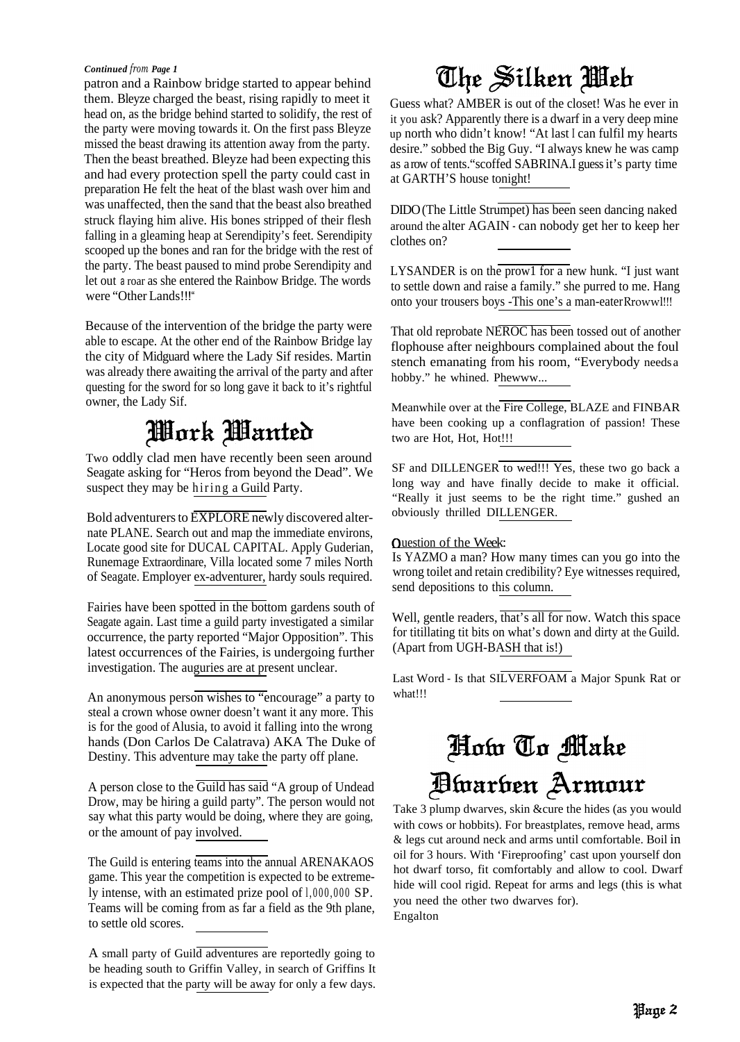#### *Continued from Page 1*

patron and a Rainbow bridge started to appear behind them. Bleyze charged the beast, rising rapidly to meet it head on, as the bridge behind started to solidify, the rest of the party were moving towards it. On the first pass Bleyze missed the beast drawing its attention away from the party. Then the beast breathed. Bleyze had been expecting this and had every protection spell the party could cast in preparation He felt the heat of the blast wash over him and was unaffected, then the sand that the beast also breathed struck flaying him alive. His bones stripped of their flesh falling in a gleaming heap at Serendipity's feet. Serendipity scooped up the bones and ran for the bridge with the rest of the party. The beast paused to mind probe Serendipity and let out a roar as she entered the Rainbow Bridge. The words were "Other Lands!!!"

Because of the intervention of the bridge the party were able to escape. At the other end of the Rainbow Bridge lay the city of Midguard where the Lady Sif resides. Martin was already there awaiting the arrival of the party and after questing for the sword for so long gave it back to it's rightful owner, the Lady Sif.

## Work Wanted

Two oddly clad men have recently been seen around Seagate asking for "Heros from beyond the Dead". We suspect they may be hiring a Guild Party.

Bold adventurers to EXPLORE newly discovered alternate PLANE. Search out and map the immediate environs, Locate good site for DUCAL CAPITAL. Apply Guderian, Runemage Extraordinare, Villa located some 7 miles North of Seagate. Employer ex-adventurer, hardy souls required.

Fairies have been spotted in the bottom gardens south of Seagate again. Last time a guild party investigated a similar occurrence, the party reported "Major Opposition". This latest occurrences of the Fairies, is undergoing further investigation. The auguries are at present unclear.

An anonymous person wishes to "encourage" a party to steal a crown whose owner doesn't want it any more. This is for the good of Alusia, to avoid it falling into the wrong hands (Don Carlos De Calatrava) AKA The Duke of Destiny. This adventure may take the party off plane.

A person close to the Guild has said "A group of Undead Drow, may be hiring a guild party". The person would not say what this party would be doing, where they are going, or the amount of pay involved.

The Guild is entering teams into the annual ARENAKAOS game. This year the competition is expected to be extremely intense, with an estimated prize pool of l,000,000 SP. Teams will be coming from as far a field as the 9th plane, to settle old scores.

A small party of Guild adventures are reportedly going to be heading south to Griffin Valley, in search of Griffins It is expected that the party will be away for only a few days.

## The Silken Meh

Guess what? AMBER is out of the closet! Was he ever in it you ask? Apparently there is a dwarf in a very deep mine up north who didn't know! "At last I can fulfil my hearts desire." sobbed the Big Guy. "I always knew he was camp as a row of tents."scoffed SABRINA. I guess it's party time at GARTH'S house tonight!

DIDO (The Little Strumpet) has been seen dancing naked around the alter AGAIN - can nobody get her to keep her clothes on?

LYSANDER is on the prow1 for a new hunk. "I just want to settle down and raise a family." she purred to me. Hang onto your trousers boys -This one's a man-eater Rrowwl!!!

That old reprobate NEROC has been tossed out of another flophouse after neighbours complained about the foul stench emanating from his room, "Everybody needs a hobby." he whined. Phewww...

Meanwhile over at the Fire College, BLAZE and FINBAR have been cooking up a conflagration of passion! These two are Hot, Hot, Hot!!!

SF and DILLENGER to wed!!! Yes, these two go back a long way and have finally decide to make it official. "Really it just seems to be the right time." gushed an obviously thrilled DILLENGER.

### **Question of the Week:**

Is YAZMO a man? How many times can you go into the wrong toilet and retain credibility? Eye witnesses required, send depositions to this column.

Well, gentle readers, that's all for now. Watch this space for titillating tit bits on what's down and dirty at the Guild. (Apart from UGH-BASH that is!)

Last Word - Is that SILVERFOAM a Major Spunk Rat or what!!!

## How To Make **Amarben Armour**

Take 3 plump dwarves, skin &cure the hides (as you would with cows or hobbits). For breastplates, remove head, arms & legs cut around neck and arms until comfortable. Boil in oil for 3 hours. With 'Fireproofing' cast upon yourself don hot dwarf torso, fit comfortably and allow to cool. Dwarf hide will cool rigid. Repeat for arms and legs (this is what you need the other two dwarves for). Engalton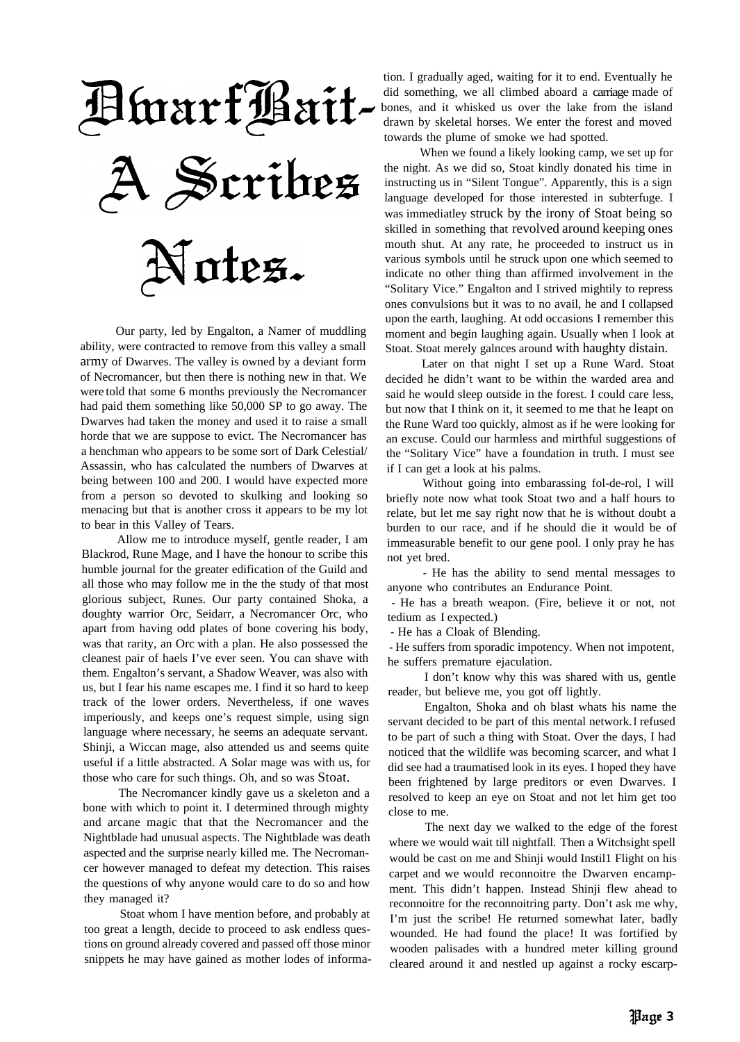

Our party, led by Engalton, a Namer of muddling ability, were contracted to remove from this valley a small army of Dwarves. The valley is owned by a deviant form of Necromancer, but then there is nothing new in that. We were told that some 6 months previously the Necromancer had paid them something like 50,000 SP to go away. The Dwarves had taken the money and used it to raise a small horde that we are suppose to evict. The Necromancer has a henchman who appears to be some sort of Dark Celestial/ Assassin, who has calculated the numbers of Dwarves at being between 100 and 200. I would have expected more from a person so devoted to skulking and looking so menacing but that is another cross it appears to be my lot to bear in this Valley of Tears.

Allow me to introduce myself, gentle reader, I am Blackrod, Rune Mage, and I have the honour to scribe this humble journal for the greater edification of the Guild and all those who may follow me in the the study of that most glorious subject, Runes. Our party contained Shoka, a doughty warrior Orc, Seidarr, a Necromancer Orc, who apart from having odd plates of bone covering his body, was that rarity, an Orc with a plan. He also possessed the cleanest pair of haels I've ever seen. You can shave with them. Engalton's servant, a Shadow Weaver, was also with us, but I fear his name escapes me. I find it so hard to keep track of the lower orders. Nevertheless, if one waves imperiously, and keeps one's request simple, using sign language where necessary, he seems an adequate servant. Shinji, a Wiccan mage, also attended us and seems quite useful if a little abstracted. A Solar mage was with us, for those who care for such things. Oh, and so was Stoat.

The Necromancer kindly gave us a skeleton and a bone with which to point it. I determined through mighty and arcane magic that that the Necromancer and the Nightblade had unusual aspects. The Nightblade was death aspected and the surprise nearly killed me. The Necromancer however managed to defeat my detection. This raises the questions of why anyone would care to do so and how they managed it?

Stoat whom I have mention before, and probably at too great a length, decide to proceed to ask endless questions on ground already covered and passed off those minor snippets he may have gained as mother lodes of information. I gradually aged, waiting for it to end. Eventually he did something, we all climbed aboard a carriage made of drawn by skeletal horses. We enter the forest and moved towards the plume of smoke we had spotted.

When we found a likely looking camp, we set up for the night. As we did so, Stoat kindly donated his time in instructing us in "Silent Tongue". Apparently, this is a sign language developed for those interested in subterfuge. I was immediatley struck by the irony of Stoat being so skilled in something that revolved around keeping ones mouth shut. At any rate, he proceeded to instruct us in various symbols until he struck upon one which seemed to indicate no other thing than affirmed involvement in the "Solitary Vice." Engalton and I strived mightily to repress ones convulsions but it was to no avail, he and I collapsed upon the earth, laughing. At odd occasions I remember this moment and begin laughing again. Usually when I look at Stoat. Stoat merely galnces around with haughty distain.

Later on that night I set up a Rune Ward. Stoat decided he didn't want to be within the warded area and said he would sleep outside in the forest. I could care less, but now that I think on it, it seemed to me that he leapt on the Rune Ward too quickly, almost as if he were looking for an excuse. Could our harmless and mirthful suggestions of the "Solitary Vice" have a foundation in truth. I must see if I can get a look at his palms.

Without going into embarassing fol-de-rol, I will briefly note now what took Stoat two and a half hours to relate, but let me say right now that he is without doubt a burden to our race, and if he should die it would be of immeasurable benefit to our gene pool. I only pray he has not yet bred.

- He has the ability to send mental messages to anyone who contributes an Endurance Point.

- He has a breath weapon. (Fire, believe it or not, not tedium as I expected.)

- He has a Cloak of Blending.

- He suffers from sporadic impotency. When not impotent, he suffers premature ejaculation.

I don't know why this was shared with us, gentle reader, but believe me, you got off lightly.

Engalton, Shoka and oh blast whats his name the servant decided to be part of this mental network. I refused to be part of such a thing with Stoat. Over the days, I had noticed that the wildlife was becoming scarcer, and what I did see had a traumatised look in its eyes. I hoped they have been frightened by large preditors or even Dwarves. I resolved to keep an eye on Stoat and not let him get too close to me.

The next day we walked to the edge of the forest where we would wait till nightfall. Then a Witchsight spell would be cast on me and Shinji would Instil1 Flight on his carpet and we would reconnoitre the Dwarven encampment. This didn't happen. Instead Shinji flew ahead to reconnoitre for the reconnoitring party. Don't ask me why, I'm just the scribe! He returned somewhat later, badly wounded. He had found the place! It was fortified by wooden palisades with a hundred meter killing ground cleared around it and nestled up against a rocky escarp-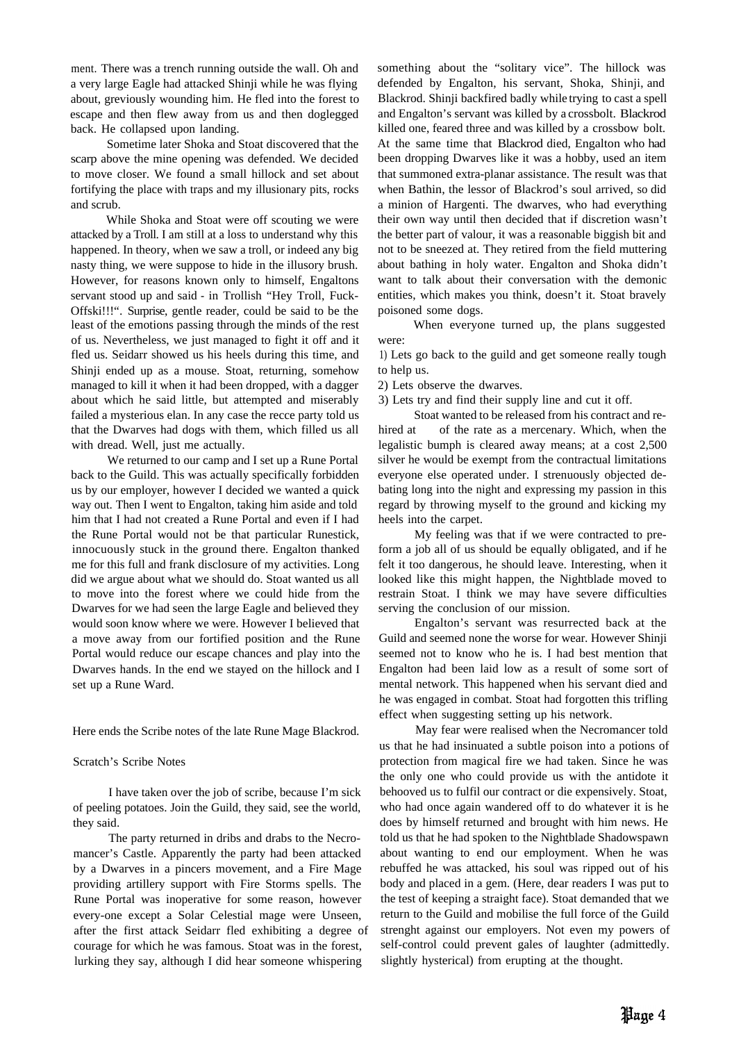ment. There was a trench running outside the wall. Oh and a very large Eagle had attacked Shinji while he was flying about, greviously wounding him. He fled into the forest to escape and then flew away from us and then doglegged back. He collapsed upon landing.

Sometime later Shoka and Stoat discovered that the scarp above the mine opening was defended. We decided to move closer. We found a small hillock and set about fortifying the place with traps and my illusionary pits, rocks and scrub.

While Shoka and Stoat were off scouting we were attacked by a Troll. I am still at a loss to understand why this happened. In theory, when we saw a troll, or indeed any big nasty thing, we were suppose to hide in the illusory brush. However, for reasons known only to himself, Engaltons servant stood up and said - in Trollish "Hey Troll, Fuck-Offski!!!". Surprise, gentle reader, could be said to be the least of the emotions passing through the minds of the rest of us. Nevertheless, we just managed to fight it off and it fled us. Seidarr showed us his heels during this time, and Shinji ended up as a mouse. Stoat, returning, somehow managed to kill it when it had been dropped, with a dagger about which he said little, but attempted and miserably failed a mysterious elan. In any case the recce party told us that the Dwarves had dogs with them, which filled us all with dread. Well, just me actually.

We returned to our camp and I set up a Rune Portal back to the Guild. This was actually specifically forbidden us by our employer, however I decided we wanted a quick way out. Then I went to Engalton, taking him aside and told him that I had not created a Rune Portal and even if I had the Rune Portal would not be that particular Runestick, innocuously stuck in the ground there. Engalton thanked me for this full and frank disclosure of my activities. Long did we argue about what we should do. Stoat wanted us all to move into the forest where we could hide from the Dwarves for we had seen the large Eagle and believed they would soon know where we were. However I believed that a move away from our fortified position and the Rune Portal would reduce our escape chances and play into the Dwarves hands. In the end we stayed on the hillock and I set up a Rune Ward.

Here ends the Scribe notes of the late Rune Mage Blackrod.

#### Scratch's Scribe Notes

I have taken over the job of scribe, because I'm sick of peeling potatoes. Join the Guild, they said, see the world, they said.

The party returned in dribs and drabs to the Necromancer's Castle. Apparently the party had been attacked by a Dwarves in a pincers movement, and a Fire Mage providing artillery support with Fire Storms spells. The Rune Portal was inoperative for some reason, however every-one except a Solar Celestial mage were Unseen, after the first attack Seidarr fled exhibiting a degree of courage for which he was famous. Stoat was in the forest, lurking they say, although I did hear someone whispering

something about the "solitary vice". The hillock was defended by Engalton, his servant, Shoka, Shinji, and Blackrod. Shinji backfired badly while trying to cast a spell and Engalton's servant was killed by a crossbolt. Blackrod killed one, feared three and was killed by a crossbow bolt. At the same time that Blackrod died, Engalton who had been dropping Dwarves like it was a hobby, used an item that summoned extra-planar assistance. The result was that when Bathin, the lessor of Blackrod's soul arrived, so did a minion of Hargenti. The dwarves, who had everything their own way until then decided that if discretion wasn't the better part of valour, it was a reasonable biggish bit and not to be sneezed at. They retired from the field muttering about bathing in holy water. Engalton and Shoka didn't want to talk about their conversation with the demonic entities, which makes you think, doesn't it. Stoat bravely poisoned some dogs.

When everyone turned up, the plans suggested were:

1) Lets go back to the guild and get someone really tough to help us.

2) Lets observe the dwarves.

3) Lets try and find their supply line and cut it off.

Stoat wanted to be released from his contract and rehired at of the rate as a mercenary. Which, when the legalistic bumph is cleared away means; at a cost 2,500 silver he would be exempt from the contractual limitations everyone else operated under. I strenuously objected debating long into the night and expressing my passion in this regard by throwing myself to the ground and kicking my heels into the carpet.

My feeling was that if we were contracted to preform a job all of us should be equally obligated, and if he felt it too dangerous, he should leave. Interesting, when it looked like this might happen, the Nightblade moved to restrain Stoat. I think we may have severe difficulties serving the conclusion of our mission.

Engalton's servant was resurrected back at the Guild and seemed none the worse for wear. However Shinji seemed not to know who he is. I had best mention that Engalton had been laid low as a result of some sort of mental network. This happened when his servant died and he was engaged in combat. Stoat had forgotten this trifling effect when suggesting setting up his network.

May fear were realised when the Necromancer told us that he had insinuated a subtle poison into a potions of protection from magical fire we had taken. Since he was the only one who could provide us with the antidote it behooved us to fulfil our contract or die expensively. Stoat, who had once again wandered off to do whatever it is he does by himself returned and brought with him news. He told us that he had spoken to the Nightblade Shadowspawn about wanting to end our employment. When he was rebuffed he was attacked, his soul was ripped out of his body and placed in a gem. (Here, dear readers I was put to the test of keeping a straight face). Stoat demanded that we return to the Guild and mobilise the full force of the Guild strenght against our employers. Not even my powers of self-control could prevent gales of laughter (admittedly. slightly hysterical) from erupting at the thought.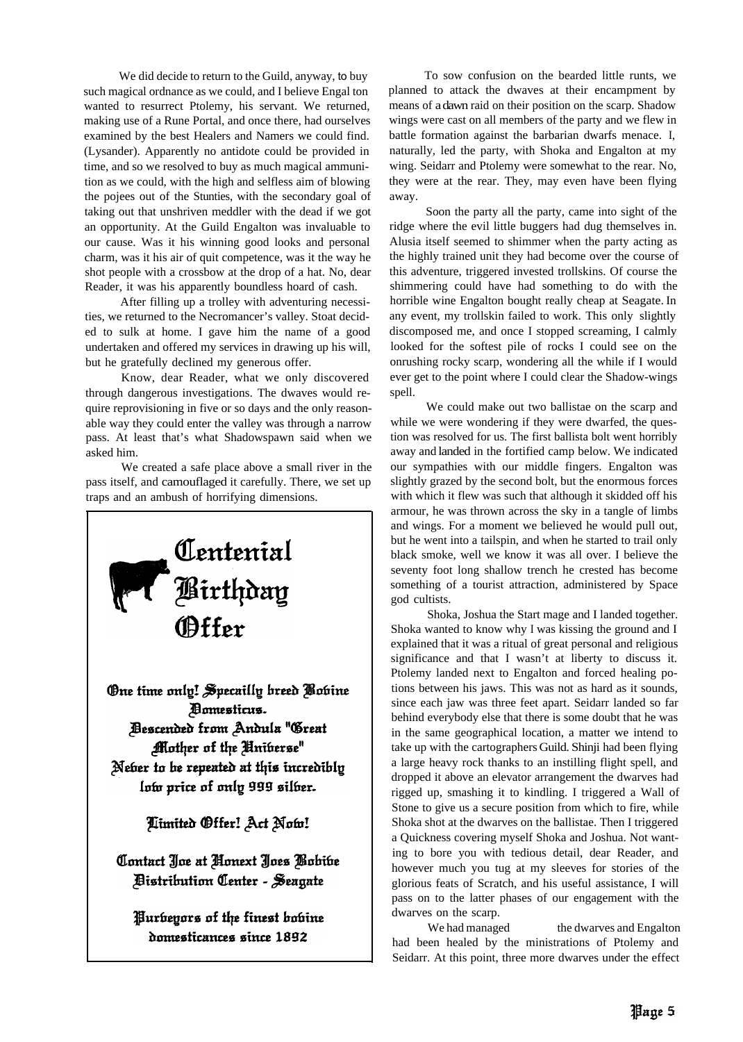We did decide to return to the Guild, anyway, to buy such magical ordnance as we could, and I believe Engal ton wanted to resurrect Ptolemy, his servant. We returned, making use of a Rune Portal, and once there, had ourselves examined by the best Healers and Namers we could find. (Lysander). Apparently no antidote could be provided in time, and so we resolved to buy as much magical ammunition as we could, with the high and selfless aim of blowing the pojees out of the Stunties, with the secondary goal of taking out that unshriven meddler with the dead if we got an opportunity. At the Guild Engalton was invaluable to our cause. Was it his winning good looks and personal charm, was it his air of quit competence, was it the way he shot people with a crossbow at the drop of a hat. No, dear Reader, it was his apparently boundless hoard of cash.

After filling up a trolley with adventuring necessities, we returned to the Necromancer's valley. Stoat decided to sulk at home. I gave him the name of a good undertaken and offered my services in drawing up his will, but he gratefully declined my generous offer.

Know, dear Reader, what we only discovered through dangerous investigations. The dwaves would require reprovisioning in five or so days and the only reasonable way they could enter the valley was through a narrow pass. At least that's what Shadowspawn said when we asked him.

We created a safe place above a small river in the pass itself, and camouflaged it carefully. There, we set up traps and an ambush of horrifying dimensions.



To sow confusion on the bearded little runts, we planned to attack the dwaves at their encampment by means of a dawn raid on their position on the scarp. Shadow wings were cast on all members of the party and we flew in battle formation against the barbarian dwarfs menace. I, naturally, led the party, with Shoka and Engalton at my wing. Seidarr and Ptolemy were somewhat to the rear. No, they were at the rear. They, may even have been flying away.

Soon the party all the party, came into sight of the ridge where the evil little buggers had dug themselves in. Alusia itself seemed to shimmer when the party acting as the highly trained unit they had become over the course of this adventure, triggered invested trollskins. Of course the shimmering could have had something to do with the horrible wine Engalton bought really cheap at Seagate. In any event, my trollskin failed to work. This only slightly discomposed me, and once I stopped screaming, I calmly looked for the softest pile of rocks I could see on the onrushing rocky scarp, wondering all the while if I would ever get to the point where I could clear the Shadow-wings spell.

We could make out two ballistae on the scarp and while we were wondering if they were dwarfed, the question was resolved for us. The first ballista bolt went horribly away and landed in the fortified camp below. We indicated our sympathies with our middle fingers. Engalton was slightly grazed by the second bolt, but the enormous forces with which it flew was such that although it skidded off his armour, he was thrown across the sky in a tangle of limbs and wings. For a moment we believed he would pull out, but he went into a tailspin, and when he started to trail only black smoke, well we know it was all over. I believe the seventy foot long shallow trench he crested has become something of a tourist attraction, administered by Space god cultists.

Shoka, Joshua the Start mage and I landed together. Shoka wanted to know why I was kissing the ground and I explained that it was a ritual of great personal and religious significance and that I wasn't at liberty to discuss it. Ptolemy landed next to Engalton and forced healing potions between his jaws. This was not as hard as it sounds, since each jaw was three feet apart. Seidarr landed so far behind everybody else that there is some doubt that he was in the same geographical location, a matter we intend to take up with the cartographers Guild. Shinji had been flying a large heavy rock thanks to an instilling flight spell, and dropped it above an elevator arrangement the dwarves had rigged up, smashing it to kindling. I triggered a Wall of Stone to give us a secure position from which to fire, while Shoka shot at the dwarves on the ballistae. Then I triggered a Quickness covering myself Shoka and Joshua. Not wanting to bore you with tedious detail, dear Reader, and however much you tug at my sleeves for stories of the glorious feats of Scratch, and his useful assistance, I will pass on to the latter phases of our engagement with the dwarves on the scarp.

We had managed the dwarves and Engalton had been healed by the ministrations of Ptolemy and Seidarr. At this point, three more dwarves under the effect